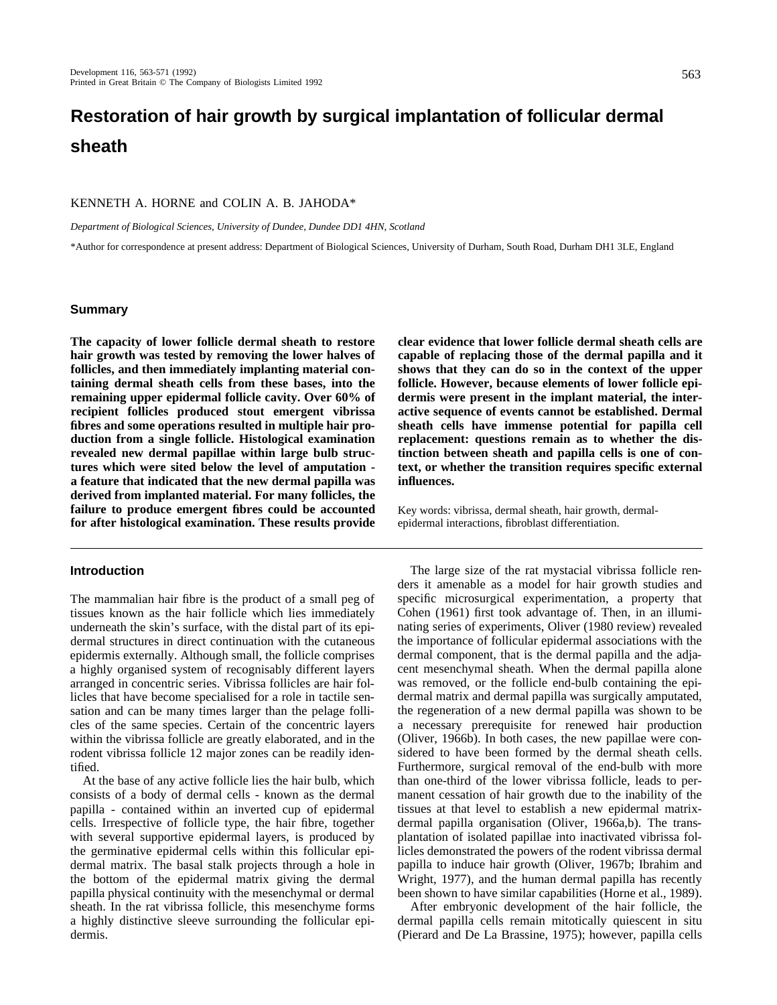# **Restoration of hair growth by surgical implantation of follicular dermal sheath**

### KENNETH A. HORNE and COLIN A. B. JAHODA\*

*Department of Biological Sciences, University of Dundee, Dundee DD1 4HN, Scotland*

\*Author for correspondence at present address: Department of Biological Sciences, University of Durham, South Road, Durham DH1 3LE, England

#### **Summary**

**The capacity of lower follicle dermal sheath to restore hair growth was tested by removing the lower halves of follicles, and then immediately implanting material containing dermal sheath cells from these bases, into the remaining upper epidermal follicle cavity. Over 60% of recipient follicles produced stout emergent vibrissa fibres and some operations resulted in multiple hair production from a single follicle. Histological examination revealed new dermal papillae within large bulb structures which were sited below the level of amputation a feature that indicated that the new dermal papilla was derived from implanted material. For many follicles, the failure to produce emergent fibres could be accounted for after histological examination. These results provide**

# **Introduction**

The mammalian hair fibre is the product of a small peg of tissues known as the hair follicle which lies immediately underneath the skin's surface, with the distal part of its epidermal structures in direct continuation with the cutaneous epidermis externally. Although small, the follicle comprises a highly organised system of recognisably different layers arranged in concentric series. Vibrissa follicles are hair follicles that have become specialised for a role in tactile sensation and can be many times larger than the pelage follicles of the same species. Certain of the concentric layers within the vibrissa follicle are greatly elaborated, and in the rodent vibrissa follicle 12 major zones can be readily identified.

At the base of any active follicle lies the hair bulb, which consists of a body of dermal cells - known as the dermal papilla - contained within an inverted cup of epidermal cells. Irrespective of follicle type, the hair fibre, together with several supportive epidermal layers, is produced by the germinative epidermal cells within this follicular epidermal matrix. The basal stalk projects through a hole in the bottom of the epidermal matrix giving the dermal papilla physical continuity with the mesenchymal or dermal sheath. In the rat vibrissa follicle, this mesenchyme forms a highly distinctive sleeve surrounding the follicular epidermis.

**clear evidence that lower follicle dermal sheath cells are capable of replacing those of the dermal papilla and it shows that they can do so in the context of the upper follicle. However, because elements of lower follicle epidermis were present in the implant material, the interactive sequence of events cannot be established. Dermal sheath cells have immense potential for papilla cell replacement: questions remain as to whether the distinction between sheath and papilla cells is one of context, or whether the transition requires specific external influences.**

Key words: vibrissa, dermal sheath, hair growth, dermalepidermal interactions, fibroblast differentiation.

The large size of the rat mystacial vibrissa follicle renders it amenable as a model for hair growth studies and specific microsurgical experimentation, a property that Cohen (1961) first took advantage of. Then, in an illuminating series of experiments, Oliver (1980 review) revealed the importance of follicular epidermal associations with the dermal component, that is the dermal papilla and the adjacent mesenchymal sheath. When the dermal papilla alone was removed, or the follicle end-bulb containing the epidermal matrix and dermal papilla was surgically amputated, the regeneration of a new dermal papilla was shown to be a necessary prerequisite for renewed hair production (Oliver, 1966b). In both cases, the new papillae were considered to have been formed by the dermal sheath cells. Furthermore, surgical removal of the end-bulb with more than one-third of the lower vibrissa follicle, leads to permanent cessation of hair growth due to the inability of the tissues at that level to establish a new epidermal matrixdermal papilla organisation (Oliver, 1966a,b). The transplantation of isolated papillae into inactivated vibrissa follicles demonstrated the powers of the rodent vibrissa dermal papilla to induce hair growth (Oliver, 1967b; Ibrahim and Wright, 1977), and the human dermal papilla has recently been shown to have similar capabilities (Horne et al., 1989).

After embryonic development of the hair follicle, the dermal papilla cells remain mitotically quiescent in situ (Pierard and De La Brassine, 1975); however, papilla cells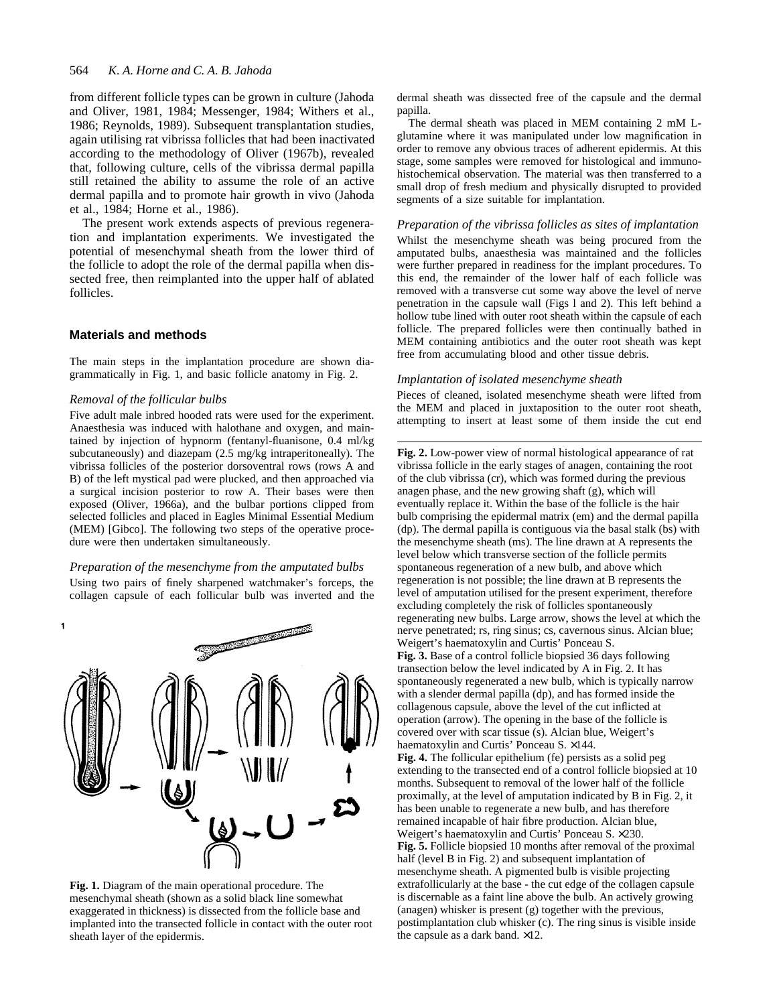#### 564 *K. A. Horne and C. A. B. Jahoda*

from different follicle types can be grown in culture (Jahoda and Oliver, 1981, 1984; Messenger, 1984; Withers et al., 1986; Reynolds, 1989). Subsequent transplantation studies, again utilising rat vibrissa follicles that had been inactivated according to the methodology of Oliver (1967b), revealed that, following culture, cells of the vibrissa dermal papilla still retained the ability to assume the role of an active dermal papilla and to promote hair growth in vivo (Jahoda et al., 1984; Horne et al., 1986).

The present work extends aspects of previous regeneration and implantation experiments. We investigated the potential of mesenchymal sheath from the lower third of the follicle to adopt the role of the dermal papilla when dissected free, then reimplanted into the upper half of ablated follicles.

#### **Materials and methods**

The main steps in the implantation procedure are shown diagrammatically in Fig. 1, and basic follicle anatomy in Fig. 2.

# *Removal of the follicular bulbs*

Five adult male inbred hooded rats were used for the experiment. Anaesthesia was induced with halothane and oxygen, and maintained by injection of hypnorm (fentanyl-fluanisone, 0.4 ml/kg subcutaneously) and diazepam (2.5 mg/kg intraperitoneally). The vibrissa follicles of the posterior dorsoventral rows (rows A and B) of the left mystical pad were plucked, and then approached via a surgical incision posterior to row A. Their bases were then exposed (Oliver, 1966a), and the bulbar portions clipped from selected follicles and placed in Eagles Minimal Essential Medium (MEM) [Gibco]. The following two steps of the operative procedure were then undertaken simultaneously.

### *Preparation of the mesenchyme from the amputated bulbs*

Using two pairs of finely sharpened watchmaker's forceps, the collagen capsule of each follicular bulb was inverted and the



**Fig. 1.** Diagram of the main operational procedure. The mesenchymal sheath (shown as a solid black line somewhat exaggerated in thickness) is dissected from the follicle base and implanted into the transected follicle in contact with the outer root sheath layer of the epidermis.

dermal sheath was dissected free of the capsule and the dermal papilla.

The dermal sheath was placed in MEM containing 2 mM Lglutamine where it was manipulated under low magnification in order to remove any obvious traces of adherent epidermis. At this stage, some samples were removed for histological and immunohistochemical observation. The material was then transferred to a small drop of fresh medium and physically disrupted to provided segments of a size suitable for implantation.

#### *Preparation of the vibrissa follicles as sites of implantation*

Whilst the mesenchyme sheath was being procured from the amputated bulbs, anaesthesia was maintained and the follicles were further prepared in readiness for the implant procedures. To this end, the remainder of the lower half of each follicle was removed with a transverse cut some way above the level of nerve penetration in the capsule wall (Figs l and 2). This left behind a hollow tube lined with outer root sheath within the capsule of each follicle. The prepared follicles were then continually bathed in MEM containing antibiotics and the outer root sheath was kept free from accumulating blood and other tissue debris.

#### *Implantation of isolated mesenchyme sheath*

Pieces of cleaned, isolated mesenchyme sheath were lifted from the MEM and placed in juxtaposition to the outer root sheath, attempting to insert at least some of them inside the cut end

**Fig. 2.** Low-power view of normal histological appearance of rat vibrissa follicle in the early stages of anagen, containing the root of the club vibrissa (cr), which was formed during the previous anagen phase, and the new growing shaft (g), which will eventually replace it. Within the base of the follicle is the hair bulb comprising the epidermal matrix (em) and the dermal papilla (dp). The dermal papilla is contiguous via the basal stalk (bs) with the mesenchyme sheath (ms). The line drawn at A represents the level below which transverse section of the follicle permits spontaneous regeneration of a new bulb, and above which regeneration is not possible; the line drawn at B represents the level of amputation utilised for the present experiment, therefore excluding completely the risk of follicles spontaneously regenerating new bulbs. Large arrow, shows the level at which the nerve penetrated; rs, ring sinus; cs, cavernous sinus. Alcian blue; Weigert's haematoxylin and Curtis' Ponceau S.

**Fig. 3.** Base of a control follicle biopsied 36 days following transection below the level indicated by A in Fig. 2. It has spontaneously regenerated a new bulb, which is typically narrow with a slender dermal papilla (dp), and has formed inside the collagenous capsule, above the level of the cut inflicted at operation (arrow). The opening in the base of the follicle is covered over with scar tissue (s). Alcian blue, Weigert's haematoxylin and Curtis' Ponceau S. ×144.

**Fig. 4.** The follicular epithelium (fe) persists as a solid peg extending to the transected end of a control follicle biopsied at 10 months. Subsequent to removal of the lower half of the follicle proximally, at the level of amputation indicated by B in Fig. 2, it has been unable to regenerate a new bulb, and has therefore remained incapable of hair fibre production. Alcian blue, Weigert's haematoxylin and Curtis' Ponceau S. ×230. **Fig. 5.** Follicle biopsied 10 months after removal of the proximal half (level B in Fig. 2) and subsequent implantation of mesenchyme sheath. A pigmented bulb is visible projecting extrafollicularly at the base - the cut edge of the collagen capsule is discernable as a faint line above the bulb. An actively growing (anagen) whisker is present (g) together with the previous, postimplantation club whisker (c). The ring sinus is visible inside the capsule as a dark band. ×12.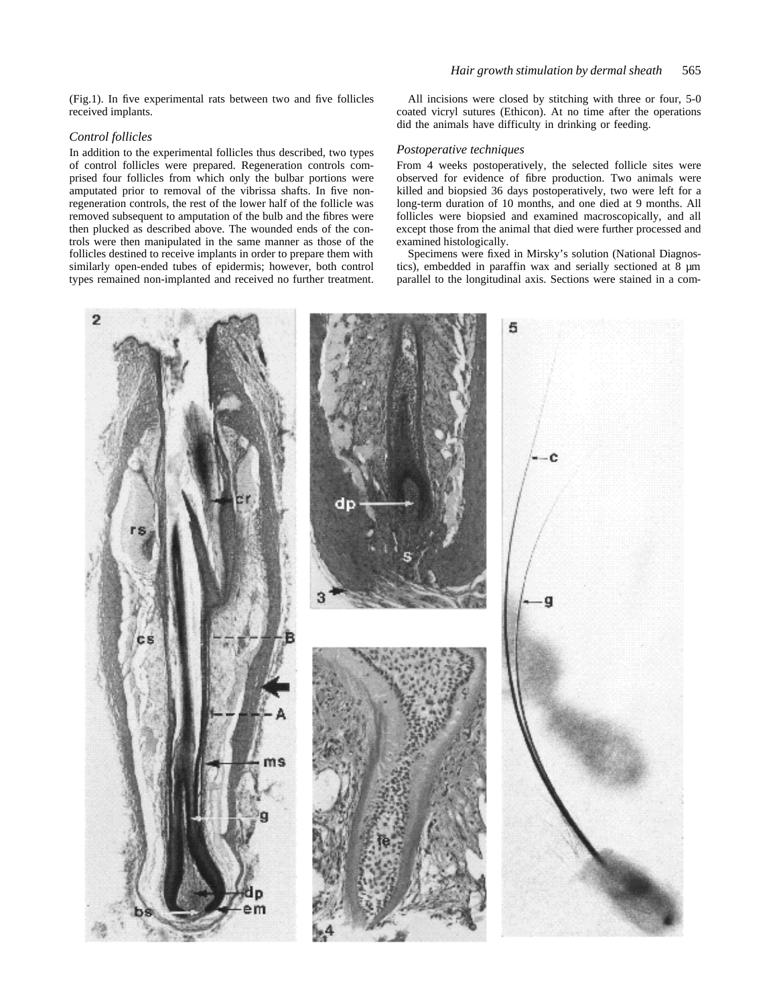(Fig.1). In five experimental rats between two and five follicles received implants.

### *Control follicles*

In addition to the experimental follicles thus described, two types of control follicles were prepared. Regeneration controls comprised four follicles from which only the bulbar portions were amputated prior to removal of the vibrissa shafts. In five nonregeneration controls, the rest of the lower half of the follicle was removed subsequent to amputation of the bulb and the fibres were then plucked as described above. The wounded ends of the controls were then manipulated in the same manner as those of the follicles destined to receive implants in order to prepare them with similarly open-ended tubes of epidermis; however, both control types remained non-implanted and received no further treatment.

All incisions were closed by stitching with three or four, 5-0 coated vicryl sutures (Ethicon). At no time after the operations did the animals have difficulty in drinking or feeding.

#### *Postoperative techniques*

From 4 weeks postoperatively, the selected follicle sites were observed for evidence of fibre production. Two animals were killed and biopsied 36 days postoperatively, two were left for a long-term duration of 10 months, and one died at 9 months. All follicles were biopsied and examined macroscopically, and all except those from the animal that died were further processed and examined histologically.

Specimens were fixed in Mirsky's solution (National Diagnostics), embedded in paraffin wax and serially sectioned at 8 µm parallel to the longitudinal axis. Sections were stained in a com-

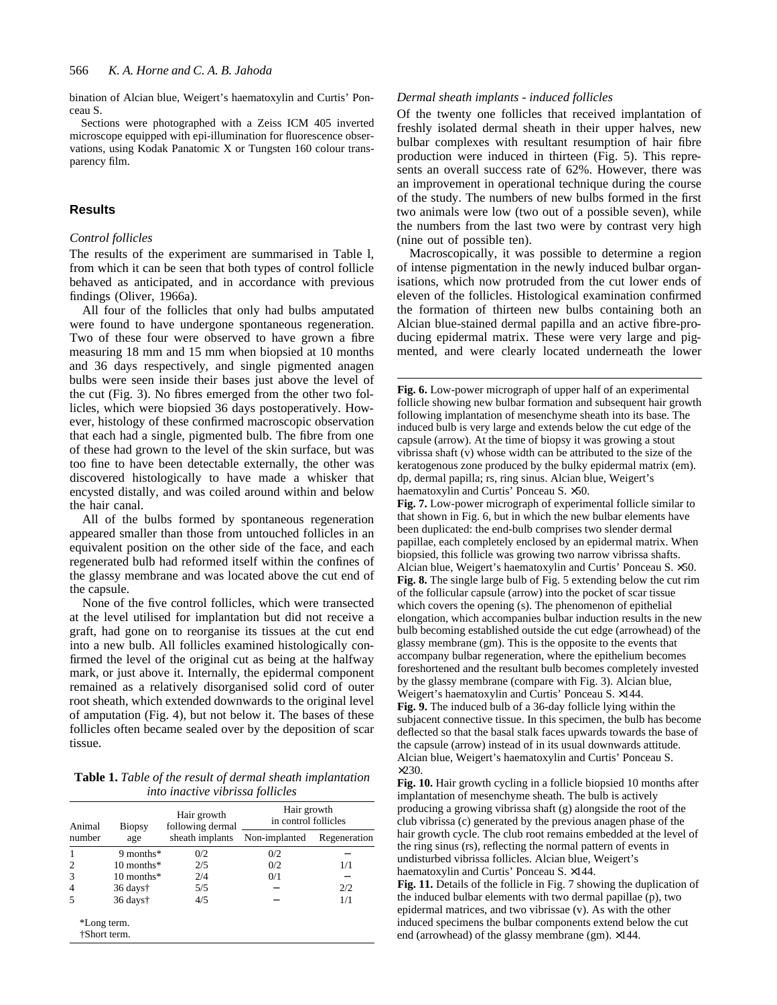bination of Alcian blue, Weigert's haematoxylin and Curtis' Ponceau S.

Sections were photographed with a Zeiss ICM 405 inverted microscope equipped with epi-illumination for fluorescence observations, using Kodak Panatomic X or Tungsten 160 colour transparency film.

# **Results**

# *Control follicles*

The results of the experiment are summarised in Table l, from which it can be seen that both types of control follicle behaved as anticipated, and in accordance with previous findings (Oliver, 1966a).

All four of the follicles that only had bulbs amputated were found to have undergone spontaneous regeneration. Two of these four were observed to have grown a fibre measuring 18 mm and 15 mm when biopsied at 10 months and 36 days respectively, and single pigmented anagen bulbs were seen inside their bases just above the level of the cut (Fig. 3). No fibres emerged from the other two follicles, which were biopsied 36 days postoperatively. However, histology of these confirmed macroscopic observation that each had a single, pigmented bulb. The fibre from one of these had grown to the level of the skin surface, but was too fine to have been detectable externally, the other was discovered histologically to have made a whisker that encysted distally, and was coiled around within and below the hair canal.

All of the bulbs formed by spontaneous regeneration appeared smaller than those from untouched follicles in an equivalent position on the other side of the face, and each regenerated bulb had reformed itself within the confines of the glassy membrane and was located above the cut end of the capsule.

None of the five control follicles, which were transected at the level utilised for implantation but did not receive a graft, had gone on to reorganise its tissues at the cut end into a new bulb. All follicles examined histologically confirmed the level of the original cut as being at the halfway mark, or just above it. Internally, the epidermal component remained as a relatively disorganised solid cord of outer root sheath, which extended downwards to the original level of amputation (Fig. 4), but not below it. The bases of these follicles often became sealed over by the deposition of scar tissue.

**Table 1.** *Table of the result of dermal sheath implantation into inactive vibrissa follicles*

| Animal<br>number            | Biopsy<br>age        | Hair growth<br>following dermal<br>sheath implants | Hair growth<br>in control follicles |              |
|-----------------------------|----------------------|----------------------------------------------------|-------------------------------------|--------------|
|                             |                      |                                                    | Non-implanted                       | Regeneration |
| 1                           | 9 months $*$         | 0/2                                                | 0/2                                 |              |
| $\overline{c}$              | $10$ months*         | 2/5                                                | 0/2                                 | 1/1          |
| 3                           | $10$ months $*$      | 2/4                                                | 0/1                                 |              |
| $\overline{4}$              | $36 \text{ days}$    | 5/5                                                |                                     | 2/2          |
| 5                           | 36 days <sup>†</sup> | 4/5                                                |                                     | 1/1          |
| *Long term.<br>†Short term. |                      |                                                    |                                     |              |

# *Dermal sheath implants - induced follicles*

Of the twenty one follicles that received implantation of freshly isolated dermal sheath in their upper halves, new bulbar complexes with resultant resumption of hair fibre production were induced in thirteen (Fig. 5). This represents an overall success rate of 62%. However, there was an improvement in operational technique during the course of the study. The numbers of new bulbs formed in the first two animals were low (two out of a possible seven), while the numbers from the last two were by contrast very high (nine out of possible ten).

Macroscopically, it was possible to determine a region of intense pigmentation in the newly induced bulbar organisations, which now protruded from the cut lower ends of eleven of the follicles. Histological examination confirmed the formation of thirteen new bulbs containing both an Alcian blue-stained dermal papilla and an active fibre-producing epidermal matrix. These were very large and pigmented, and were clearly located underneath the lower

**Fig. 6.** Low-power micrograph of upper half of an experimental follicle showing new bulbar formation and subsequent hair growth following implantation of mesenchyme sheath into its base. The induced bulb is very large and extends below the cut edge of the capsule (arrow). At the time of biopsy it was growing a stout vibrissa shaft (v) whose width can be attributed to the size of the keratogenous zone produced by the bulky epidermal matrix (em). dp, dermal papilla; rs, ring sinus. Alcian blue, Weigert's haematoxylin and Curtis' Ponceau S. ×50.

**Fig. 7.** Low-power micrograph of experimental follicle similar to that shown in Fig. 6, but in which the new bulbar elements have been duplicated: the end-bulb comprises two slender dermal papillae, each completely enclosed by an epidermal matrix. When biopsied, this follicle was growing two narrow vibrissa shafts. Alcian blue, Weigert's haematoxylin and Curtis' Ponceau S. ×50. **Fig. 8.** The single large bulb of Fig. 5 extending below the cut rim of the follicular capsule (arrow) into the pocket of scar tissue which covers the opening (s). The phenomenon of epithelial elongation, which accompanies bulbar induction results in the new bulb becoming established outside the cut edge (arrowhead) of the glassy membrane (gm). This is the opposite to the events that accompany bulbar regeneration, where the epithelium becomes foreshortened and the resultant bulb becomes completely invested by the glassy membrane (compare with Fig. 3). Alcian blue, Weigert's haematoxylin and Curtis' Ponceau S. ×144. **Fig. 9.** The induced bulb of a 36-day follicle lying within the subjacent connective tissue. In this specimen, the bulb has become deflected so that the basal stalk faces upwards towards the base of the capsule (arrow) instead of in its usual downwards attitude. Alcian blue, Weigert's haematoxylin and Curtis' Ponceau S.  $\times$ 230.

**Fig. 10.** Hair growth cycling in a follicle biopsied 10 months after implantation of mesenchyme sheath. The bulb is actively producing a growing vibrissa shaft (g) alongside the root of the club vibrissa (c) generated by the previous anagen phase of the hair growth cycle. The club root remains embedded at the level of the ring sinus (rs), reflecting the normal pattern of events in undisturbed vibrissa follicles. Alcian blue, Weigert's haematoxylin and Curtis' Ponceau S. ×144.

**Fig. 11.** Details of the follicle in Fig. 7 showing the duplication of the induced bulbar elements with two dermal papillae (p), two epidermal matrices, and two vibrissae (v). As with the other induced specimens the bulbar components extend below the cut end (arrowhead) of the glassy membrane (gm). ×144.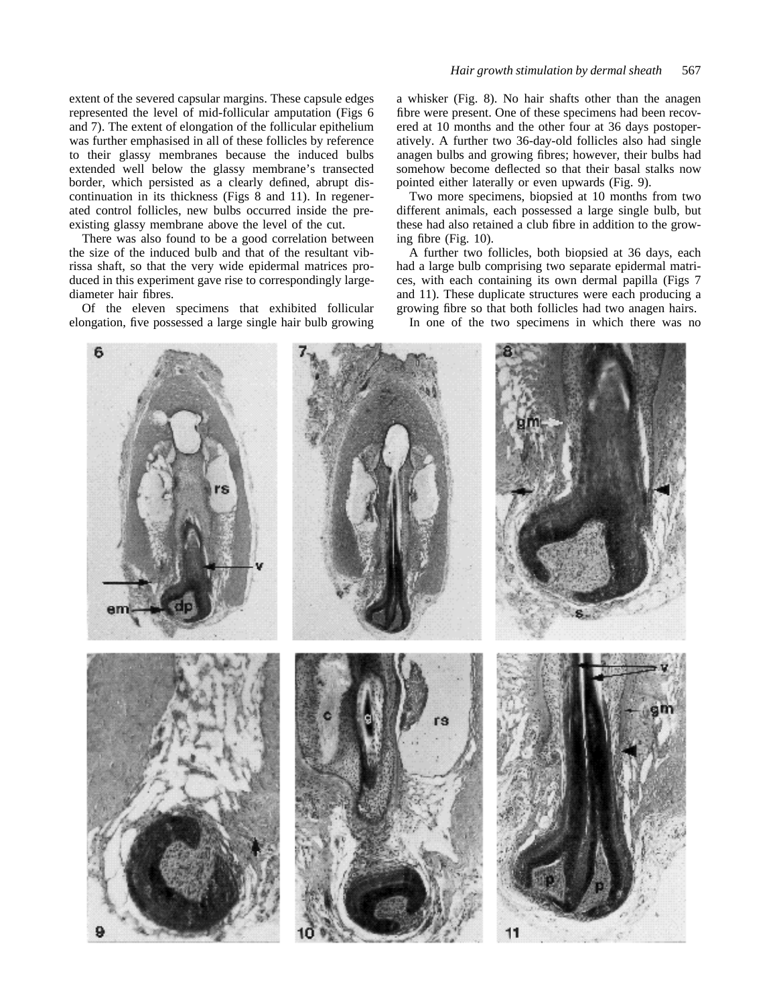extent of the severed capsular margins. These capsule edges represented the level of mid-follicular amputation (Figs 6 and 7). The extent of elongation of the follicular epithelium was further emphasised in all of these follicles by reference to their glassy membranes because the induced bulbs extended well below the glassy membrane's transected border, which persisted as a clearly defined, abrupt discontinuation in its thickness (Figs 8 and 11). In regenerated control follicles, new bulbs occurred inside the preexisting glassy membrane above the level of the cut.

There was also found to be a good correlation between the size of the induced bulb and that of the resultant vibrissa shaft, so that the very wide epidermal matrices produced in this experiment gave rise to correspondingly largediameter hair fibres.

Of the eleven specimens that exhibited follicular elongation, five possessed a large single hair bulb growing a whisker (Fig. 8). No hair shafts other than the anagen fibre were present. One of these specimens had been recovered at 10 months and the other four at 36 days postoperatively. A further two 36-day-old follicles also had single anagen bulbs and growing fibres; however, their bulbs had somehow become deflected so that their basal stalks now pointed either laterally or even upwards (Fig. 9).

Two more specimens, biopsied at 10 months from two different animals, each possessed a large single bulb, but these had also retained a club fibre in addition to the growing fibre (Fig. 10).

A further two follicles, both biopsied at 36 days, each had a large bulb comprising two separate epidermal matrices, with each containing its own dermal papilla (Figs 7 and 11). These duplicate structures were each producing a growing fibre so that both follicles had two anagen hairs.

In one of the two specimens in which there was no

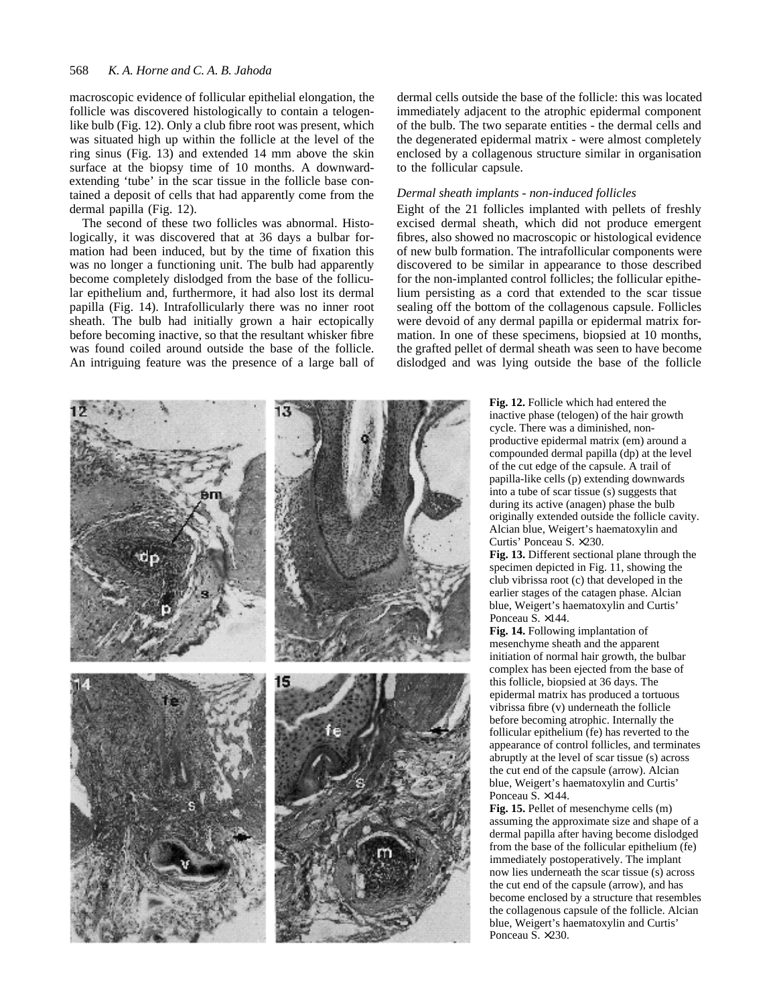#### 568 *K. A. Horne and C. A. B. Jahoda*

macroscopic evidence of follicular epithelial elongation, the follicle was discovered histologically to contain a telogenlike bulb (Fig. 12). Only a club fibre root was present, which was situated high up within the follicle at the level of the ring sinus (Fig. 13) and extended 14 mm above the skin surface at the biopsy time of 10 months. A downwardextending 'tube' in the scar tissue in the follicle base contained a deposit of cells that had apparently come from the dermal papilla (Fig. 12).

The second of these two follicles was abnormal. Histologically, it was discovered that at 36 days a bulbar formation had been induced, but by the time of fixation this was no longer a functioning unit. The bulb had apparently become completely dislodged from the base of the follicular epithelium and, furthermore, it had also lost its dermal papilla (Fig. 14). Intrafollicularly there was no inner root sheath. The bulb had initially grown a hair ectopically before becoming inactive, so that the resultant whisker fibre was found coiled around outside the base of the follicle. An intriguing feature was the presence of a large ball of

dermal cells outside the base of the follicle: this was located immediately adjacent to the atrophic epidermal component of the bulb. The two separate entities - the dermal cells and the degenerated epidermal matrix - were almost completely enclosed by a collagenous structure similar in organisation to the follicular capsule.

#### *Dermal sheath implants - non-induced follicles*

Eight of the 21 follicles implanted with pellets of freshly excised dermal sheath, which did not produce emergent fibres, also showed no macroscopic or histological evidence of new bulb formation. The intrafollicular components were discovered to be similar in appearance to those described for the non-implanted control follicles; the follicular epithelium persisting as a cord that extended to the scar tissue sealing off the bottom of the collagenous capsule. Follicles were devoid of any dermal papilla or epidermal matrix formation. In one of these specimens, biopsied at 10 months, the grafted pellet of dermal sheath was seen to have become dislodged and was lying outside the base of the follicle

> **Fig. 12.** Follicle which had entered the inactive phase (telogen) of the hair growth cycle. There was a diminished, nonproductive epidermal matrix (em) around a compounded dermal papilla (dp) at the level of the cut edge of the capsule. A trail of papilla-like cells (p) extending downwards into a tube of scar tissue (s) suggests that during its active (anagen) phase the bulb originally extended outside the follicle cavity. Alcian blue, Weigert's haematoxylin and Curtis' Ponceau S. ×230.

> **Fig. 13.** Different sectional plane through the specimen depicted in Fig. 11, showing the club vibrissa root (c) that developed in the earlier stages of the catagen phase. Alcian blue, Weigert's haematoxylin and Curtis' Ponceau S. ×144.

**Fig. 14.** Following implantation of mesenchyme sheath and the apparent initiation of normal hair growth, the bulbar complex has been ejected from the base of this follicle, biopsied at 36 days. The epidermal matrix has produced a tortuous vibrissa fibre (v) underneath the follicle before becoming atrophic. Internally the follicular epithelium (fe) has reverted to the appearance of control follicles, and terminates abruptly at the level of scar tissue (s) across the cut end of the capsule (arrow). Alcian blue, Weigert's haematoxylin and Curtis' Ponceau S. ×144.

**Fig. 15.** Pellet of mesenchyme cells (m) assuming the approximate size and shape of a dermal papilla after having become dislodged from the base of the follicular epithelium (fe) immediately postoperatively. The implant now lies underneath the scar tissue (s) across the cut end of the capsule (arrow), and has become enclosed by a structure that resembles the collagenous capsule of the follicle. Alcian blue, Weigert's haematoxylin and Curtis' Ponceau S. ×230.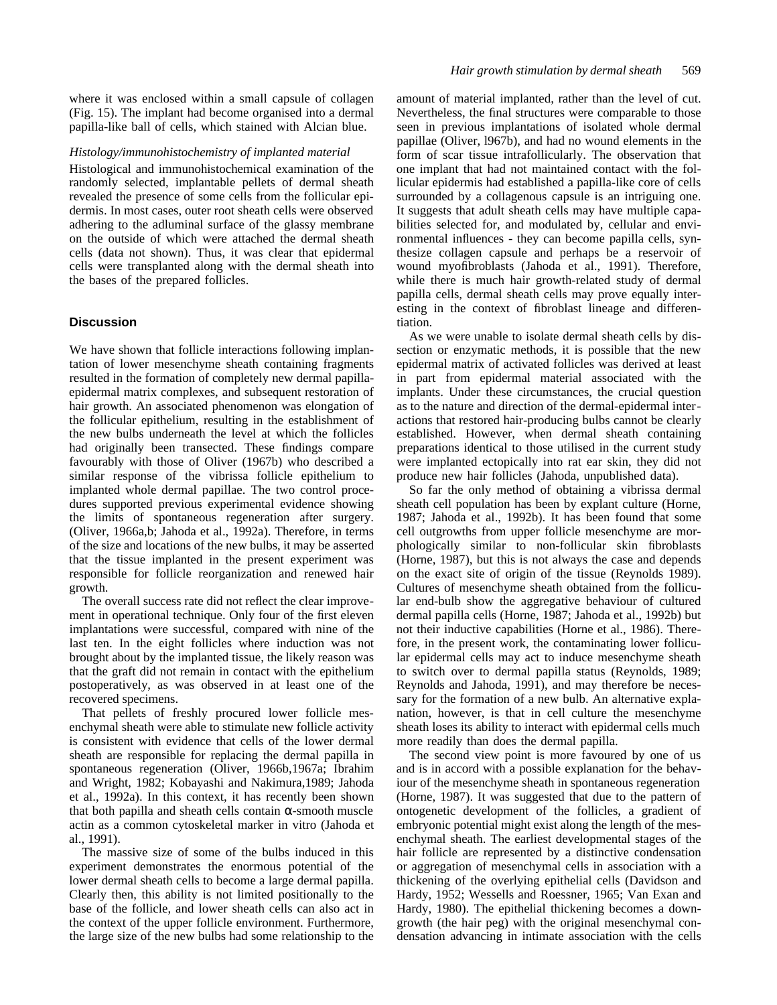where it was enclosed within a small capsule of collagen (Fig. 15). The implant had become organised into a dermal papilla-like ball of cells, which stained with Alcian blue.

#### *Histology/immunohistochemistry of implanted material*

Histological and immunohistochemical examination of the randomly selected, implantable pellets of dermal sheath revealed the presence of some cells from the follicular epidermis. In most cases, outer root sheath cells were observed adhering to the adluminal surface of the glassy membrane on the outside of which were attached the dermal sheath cells (data not shown). Thus, it was clear that epidermal cells were transplanted along with the dermal sheath into the bases of the prepared follicles.

# **Discussion**

We have shown that follicle interactions following implantation of lower mesenchyme sheath containing fragments resulted in the formation of completely new dermal papillaepidermal matrix complexes, and subsequent restoration of hair growth. An associated phenomenon was elongation of the follicular epithelium, resulting in the establishment of the new bulbs underneath the level at which the follicles had originally been transected. These findings compare favourably with those of Oliver (1967b) who described a similar response of the vibrissa follicle epithelium to implanted whole dermal papillae. The two control procedures supported previous experimental evidence showing the limits of spontaneous regeneration after surgery. (Oliver, 1966a,b; Jahoda et al., 1992a). Therefore, in terms of the size and locations of the new bulbs, it may be asserted that the tissue implanted in the present experiment was responsible for follicle reorganization and renewed hair growth.

The overall success rate did not reflect the clear improvement in operational technique. Only four of the first eleven implantations were successful, compared with nine of the last ten. In the eight follicles where induction was not brought about by the implanted tissue, the likely reason was that the graft did not remain in contact with the epithelium postoperatively, as was observed in at least one of the recovered specimens.

That pellets of freshly procured lower follicle mesenchymal sheath were able to stimulate new follicle activity is consistent with evidence that cells of the lower dermal sheath are responsible for replacing the dermal papilla in spontaneous regeneration (Oliver, 1966b,1967a; Ibrahim and Wright, 1982; Kobayashi and Nakimura,1989; Jahoda et al., 1992a). In this context, it has recently been shown that both papilla and sheath cells contain -smooth muscle actin as a common cytoskeletal marker in vitro (Jahoda et al., 1991).

The massive size of some of the bulbs induced in this experiment demonstrates the enormous potential of the lower dermal sheath cells to become a large dermal papilla. Clearly then, this ability is not limited positionally to the base of the follicle, and lower sheath cells can also act in the context of the upper follicle environment. Furthermore, the large size of the new bulbs had some relationship to the amount of material implanted, rather than the level of cut. Nevertheless, the final structures were comparable to those seen in previous implantations of isolated whole dermal papillae (Oliver, l967b), and had no wound elements in the form of scar tissue intrafollicularly. The observation that one implant that had not maintained contact with the follicular epidermis had established a papilla-like core of cells surrounded by a collagenous capsule is an intriguing one. It suggests that adult sheath cells may have multiple capabilities selected for, and modulated by, cellular and environmental influences - they can become papilla cells, synthesize collagen capsule and perhaps be a reservoir of wound myofibroblasts (Jahoda et al., 1991). Therefore, while there is much hair growth-related study of dermal papilla cells, dermal sheath cells may prove equally interesting in the context of fibroblast lineage and differentiation.

As we were unable to isolate dermal sheath cells by dissection or enzymatic methods, it is possible that the new epidermal matrix of activated follicles was derived at least in part from epidermal material associated with the implants. Under these circumstances, the crucial question as to the nature and direction of the dermal-epidermal interactions that restored hair-producing bulbs cannot be clearly established. However, when dermal sheath containing preparations identical to those utilised in the current study were implanted ectopically into rat ear skin, they did not produce new hair follicles (Jahoda, unpublished data).

So far the only method of obtaining a vibrissa dermal sheath cell population has been by explant culture (Horne, 1987; Jahoda et al., 1992b). It has been found that some cell outgrowths from upper follicle mesenchyme are morphologically similar to non-follicular skin fibroblasts (Horne, 1987), but this is not always the case and depends on the exact site of origin of the tissue (Reynolds 1989). Cultures of mesenchyme sheath obtained from the follicular end-bulb show the aggregative behaviour of cultured dermal papilla cells (Horne, 1987; Jahoda et al., 1992b) but not their inductive capabilities (Horne et al., 1986). Therefore, in the present work, the contaminating lower follicular epidermal cells may act to induce mesenchyme sheath to switch over to dermal papilla status (Reynolds, 1989; Reynolds and Jahoda, 1991), and may therefore be necessary for the formation of a new bulb. An alternative explanation, however, is that in cell culture the mesenchyme sheath loses its ability to interact with epidermal cells much more readily than does the dermal papilla.

The second view point is more favoured by one of us and is in accord with a possible explanation for the behaviour of the mesenchyme sheath in spontaneous regeneration (Horne, 1987). It was suggested that due to the pattern of ontogenetic development of the follicles, a gradient of embryonic potential might exist along the length of the mesenchymal sheath. The earliest developmental stages of the hair follicle are represented by a distinctive condensation or aggregation of mesenchymal cells in association with a thickening of the overlying epithelial cells (Davidson and Hardy, 1952; Wessells and Roessner, 1965; Van Exan and Hardy, 1980). The epithelial thickening becomes a downgrowth (the hair peg) with the original mesenchymal condensation advancing in intimate association with the cells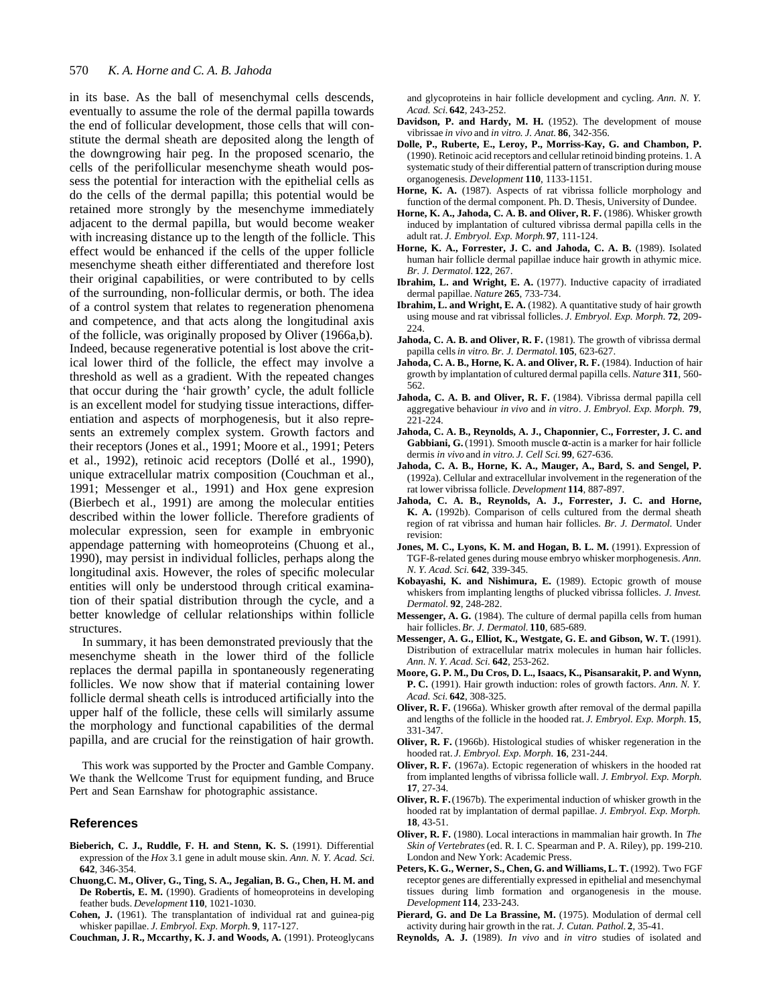#### 570 *K. A. Horne and C. A. B. Jahoda*

in its base. As the ball of mesenchymal cells descends, eventually to assume the role of the dermal papilla towards the end of follicular development, those cells that will constitute the dermal sheath are deposited along the length of the downgrowing hair peg. In the proposed scenario, the cells of the perifollicular mesenchyme sheath would possess the potential for interaction with the epithelial cells as do the cells of the dermal papilla; this potential would be retained more strongly by the mesenchyme immediately adjacent to the dermal papilla, but would become weaker with increasing distance up to the length of the follicle. This effect would be enhanced if the cells of the upper follicle mesenchyme sheath either differentiated and therefore lost their original capabilities, or were contributed to by cells of the surrounding, non-follicular dermis, or both. The idea of a control system that relates to regeneration phenomena and competence, and that acts along the longitudinal axis of the follicle, was originally proposed by Oliver (1966a,b). Indeed, because regenerative potential is lost above the critical lower third of the follicle, the effect may involve a threshold as well as a gradient. With the repeated changes that occur during the 'hair growth' cycle, the adult follicle is an excellent model for studying tissue interactions, differentiation and aspects of morphogenesis, but it also represents an extremely complex system. Growth factors and their receptors (Jones et al., 1991; Moore et al., 1991; Peters et al., 1992), retinoic acid receptors (Dollé et al., 1990), unique extracellular matrix composition (Couchman et al., 1991; Messenger et al., 1991) and Hox gene expresion (Bierbech et al., 1991) are among the molecular entities described within the lower follicle. Therefore gradients of molecular expression, seen for example in embryonic appendage patterning with homeoproteins (Chuong et al., 1990), may persist in individual follicles, perhaps along the longitudinal axis. However, the roles of specific molecular entities will only be understood through critical examination of their spatial distribution through the cycle, and a better knowledge of cellular relationships within follicle structures.

In summary, it has been demonstrated previously that the mesenchyme sheath in the lower third of the follicle replaces the dermal papilla in spontaneously regenerating follicles. We now show that if material containing lower follicle dermal sheath cells is introduced artificially into the upper half of the follicle, these cells will similarly assume the morphology and functional capabilities of the dermal papilla, and are crucial for the reinstigation of hair growth.

This work was supported by the Procter and Gamble Company. We thank the Wellcome Trust for equipment funding, and Bruce Pert and Sean Earnshaw for photographic assistance.

### **References**

- **Bieberich, C. J., Ruddle, F. H. and Stenn, K. S.** (1991). Differential expression of the *Hox* 3.1 gene in adult mouse skin. *Ann. N. Y. Acad. Sci.* **642**, 346-354.
- **Chuong,C. M., Oliver, G., Ting, S. A., Jegalian, B. G., Chen, H. M. and De Robertis, E. M.** (1990). Gradients of homeoproteins in developing feather buds. *Development* **110**, 1021-1030.
- **Cohen, J.** (1961). The transplantation of individual rat and guinea-pig whisker papillae. *J. Embryol. Exp. Morph.* **9**, 117-127.

**Couchman, J. R., Mccarthy, K. J. and Woods, A.** (1991). Proteoglycans

and glycoproteins in hair follicle development and cycling. *Ann. N. Y. Acad. Sci.* **642**, 243-252.

- Davidson, P. and Hardy, M. H. (1952). The development of mouse vibrissae *in vivo* and *in vitro*. *J. Anat.* **86**, 342-356.
- **Dolle, P., Ruberte, E., Leroy, P., Morriss-Kay, G. and Chambon, P.** (1990). Retinoic acid receptors and cellular retinoid binding proteins. 1. A systematic study of their differential pattern of transcription during mouse organogenesis. *Development* **110**, 1133-1151.
- Horne, K. A. (1987). Aspects of rat vibrissa follicle morphology and function of the dermal component. Ph. D. Thesis, University of Dundee.
- Horne, K. A., Jahoda, C. A. B. and Oliver, R. F. (1986). Whisker growth induced by implantation of cultured vibrissa dermal papilla cells in the adult rat. *J. Embryol. Exp. Morph.***97**, 111-124.
- **Horne, K. A., Forrester, J. C. and Jahoda, C. A. B.** (1989). Isolated human hair follicle dermal papillae induce hair growth in athymic mice. *Br. J. Dermatol.* **122**, 267.
- **Ibrahim, L. and Wright, E. A.** (1977). Inductive capacity of irradiated dermal papillae. *Nature* **265**, 733-734.
- **Ibrahim, L. and Wright, E. A.** (1982). A quantitative study of hair growth using mouse and rat vibrissal follicles. *J. Embryol. Exp. Morph.* **72**, 209- 224.
- Jahoda, C. A. B. and Oliver, R. F. (1981). The growth of vibrissa dermal papilla cells *in vitro*. *Br. J. Dermatol.* **105**, 623-627.
- Jahoda, C. A. B., Horne, K. A. and Oliver, R. F. (1984). Induction of hair growth by implantation of cultured dermal papilla cells. *Nature* **311**, 560- 562.
- **Jahoda, C. A. B. and Oliver, R. F.** (1984). Vibrissa dermal papilla cell aggregative behaviour *in vivo* and *in vitro*. *J. Embryol. Exp. Morph.* **79**, 221-224.
- **Jahoda, C. A. B., Reynolds, A. J., Chaponnier, C., Forrester, J. C. and** Gabbiani, G. (1991). Smooth muscle -actin is a marker for hair follicle dermis *in vivo* and *in vitro*. *J. Cell Sci.* **99**, 627-636.
- **Jahoda, C. A. B., Horne, K. A., Mauger, A., Bard, S. and Sengel, P.** (1992a). Cellular and extracellular involvement in the regeneration of the rat lower vibrissa follicle. *Development* **114**, 887-897.
- **Jahoda, C. A. B., Reynolds, A. J., Forrester, J. C. and Horne, K. A.** (1992b). Comparison of cells cultured from the dermal sheath region of rat vibrissa and human hair follicles. *Br. J. Dermatol.* Under revision:
- Jones, M. C., Lyons, K. M. and Hogan, B. L. M. (1991). Expression of TGF-ß-related genes during mouse embryo whisker morphogenesis. *Ann. N. Y. Acad. Sci.* **642**, 339-345.
- **Kobayashi, K. and Nishimura, E.** (1989). Ectopic growth of mouse whiskers from implanting lengths of plucked vibrissa follicles. *J. Invest. Dermatol.* **92**, 248-282.
- **Messenger, A. G.** (1984). The culture of dermal papilla cells from human hair follicles. *Br. J. Dermatol.* **110**, 685-689.
- **Messenger, A. G., Elliot, K., Westgate, G. E. and Gibson, W. T.** (1991). Distribution of extracellular matrix molecules in human hair follicles. *Ann. N. Y. Acad. Sci.* **642**, 253-262.
- **Moore, G. P. M., Du Cros, D. L., Isaacs, K., Pisansarakit, P. and Wynn, P. C.** (1991). Hair growth induction: roles of growth factors. *Ann. N. Y. Acad. Sci.* **642**, 308-325.
- **Oliver, R. F.** (1966a). Whisker growth after removal of the dermal papilla and lengths of the follicle in the hooded rat. *J. Embryol. Exp. Morph.* **15**, 331-347.
- **Oliver, R. F.** (1966b). Histological studies of whisker regeneration in the hooded rat. *J. Embryol. Exp. Morph.* **16**, 231-244.
- **Oliver, R. F.** (1967a). Ectopic regeneration of whiskers in the hooded rat from implanted lengths of vibrissa follicle wall. *J. Embryol. Exp. Morph.* **17**, 27-34.
- **Oliver, R. F.** (1967b). The experimental induction of whisker growth in the hooded rat by implantation of dermal papillae. *J. Embryol. Exp. Morph.* **18**, 43-51.
- **Oliver, R. F.** (1980). Local interactions in mammalian hair growth. In *The Skin of Vertebrates*(ed. R. I. C. Spearman and P. A. Riley), pp. 199-210. London and New York: Academic Press.
- Peters, K. G., Werner, S., Chen, G. and Williams, L. T. (1992). Two FGF receptor genes are differentially expressed in epithelial and mesenchymal tissues during limb formation and organogenesis in the mouse. *Development* **114**, 233-243.
- Pierard, G. and De La Brassine, M. (1975). Modulation of dermal cell activity during hair growth in the rat. *J. Cutan. Pathol.* **2**, 35-41.
- **Reynolds, A. J.** (1989). *In vivo* and *in vitro* studies of isolated and